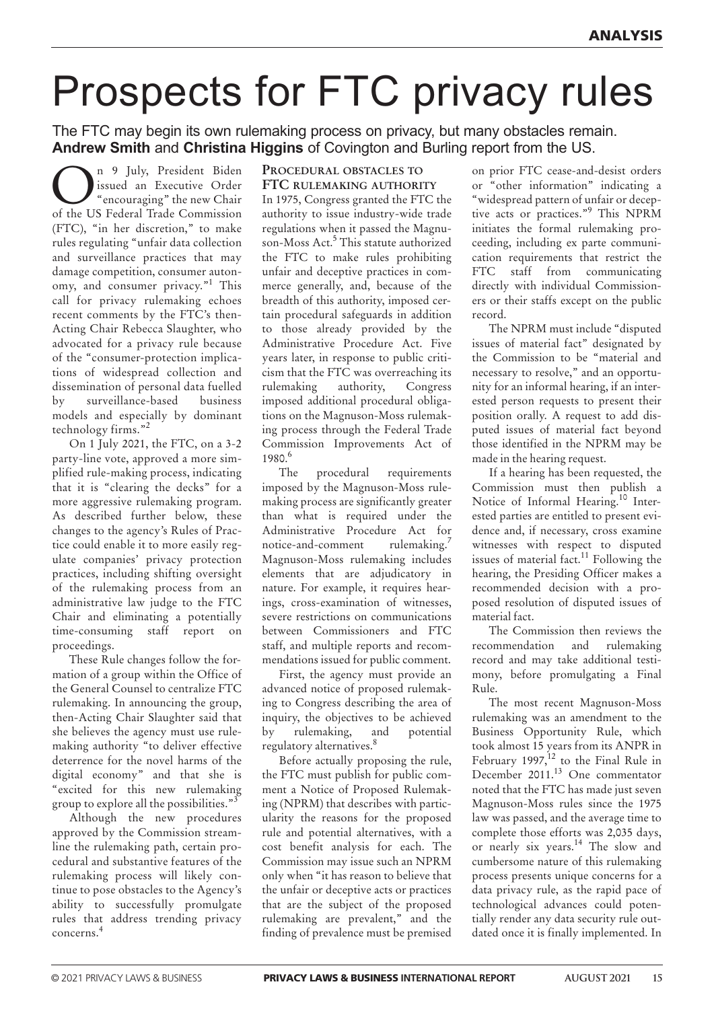# Prospects for FTC privacy rules

The FTC may begin its own rulemaking process on privacy, but many obstacles remain. **andrew smith** and **christina higgins** of Covington and Burling report from the US.

n 9 July, President Biden issued an Executive Order "encouraging" the new Chair of the US Federal Trade Commission (FTC), "in her discretion," to make rules regulating "unfair data collection and surveillance practices that may damage competition, consumer autonomy, and consumer privacy."<sup>1</sup> This call for privacy rulemaking echoes recent comments by the FTC's then-Acting Chair Rebecca Slaughter, who advocated for a privacy rule because of the "consumer-protection implications of widespread collection and dissemination of personal data fuelled by surveillance-based business models and especially by dominant technology firms."<sup>2</sup>

On 1 July 2021, the FTC, on a 3-2 party-line vote, approved a more simplified rule-making process, indicating that it is "clearing the decks" for a more aggressive rulemaking program. As described further below, these changes to the agency's Rules of Practice could enable it to more easily regulate companies' privacy protection practices, including shifting oversight of the rulemaking process from an administrative law judge to the FTC Chair and eliminating a potentially time-consuming staff report on proceedings.

These Rule changes follow the formation of a group within the Office of the General Counsel to centralize FTC rulemaking. In announcing the group, then-Acting Chair Slaughter said that she believes the agency must use rulemaking authority "to deliver effective deterrence for the novel harms of the digital economy" and that she is "excited for this new rulemaking group to explore all the possibilities."<sup>3</sup>

Although the new procedures approved by the Commission streamline the rulemaking path, certain procedural and substantive features of the rulemaking process will likely continue to pose obstacles to the Agency's ability to successfully promulgate rules that address trending privacy concerns. 4

# **proCedural obstaCles to ftC rulemaKing authority**

In 1975, Congress granted the FTC the authority to issue industry-wide trade regulations when it passed the Magnuson-Moss Act. <sup>5</sup> This statute authorized the FTC to make rules prohibiting unfair and deceptive practices in commerce generally, and, because of the breadth of this authority, imposed certain procedural safeguards in addition to those already provided by the Administrative Procedure Act. Five years later, in response to public criticism that the FTC was overreaching its rulemaking authority, Congress imposed additional procedural obligations on the Magnuson-Moss rulemaking process through the Federal Trade Commission Improvements Act of 1980. 6

The procedural requirements imposed by the Magnuson-Moss rulemaking process are significantly greater than what is required under the Administrative Procedure Act for notice-and-comment rulemaking.<sup>7</sup> Magnuson-Moss rulemaking includes elements that are adjudicatory in nature. For example, it requires hearings, cross-examination of witnesses, severe restrictions on communications between Commissioners and FTC staff, and multiple reports and recommendations issued for public comment.

First, the agency must provide an advanced notice of proposed rulemaking to Congress describing the area of inquiry, the objectives to be achieved by rulemaking, and potential regulatory alternatives. 8

Before actually proposing the rule, the FTC must publish for public comment a Notice of Proposed Rulemaking (NPRM) that describes with particularity the reasons for the proposed rule and potential alternatives, with a cost benefit analysis for each. The Commission may issue such an NPRM only when "it has reason to believe that the unfair or deceptive acts or practices that are the subject of the proposed rulemaking are prevalent," and the finding of prevalence must be premised

on prior FTC cease-and-desist orders or "other information" indicating a "widespread pattern of unfair or deceptive acts or practices."<sup>9</sup> This nPRM initiates the formal rulemaking proceeding, including ex parte communication requirements that restrict the FTC staff from communicating directly with individual Commissioners or their staffs except on the public record.

The NPRM must include "disputed issues of material fact" designated by the Commission to be "material and necessary to resolve," and an opportunity for an informal hearing, if an interested person requests to present their position orally. A request to add disputed issues of material fact beyond those identified in the nPRM may be made in the hearing request.

If a hearing has been requested, the Commission must then publish a Notice of Informal Hearing.<sup>10</sup> Interested parties are entitled to present evidence and, if necessary, cross examine witnesses with respect to disputed issues of material fact.<sup>11</sup> Following the hearing, the Presiding Officer makes a recommended decision with a proposed resolution of disputed issues of material fact.

The Commission then reviews the recommendation and rulemaking record and may take additional testimony, before promulgating a Final Rule.

The most recent Magnuson-Moss rulemaking was an amendment to the Business Opportunity Rule, which took almost 15 years from its AnPR in February 1997,<sup>12</sup> to the Final Rule in December 2011. <sup>13</sup> One commentator noted that the FTC has made just seven Magnuson-Moss rules since the 1975 law was passed, and the average time to complete those efforts was 2,035 days, or nearly six years. <sup>14</sup> The slow and cumbersome nature of this rulemaking process presents unique concerns for a data privacy rule, as the rapid pace of technological advances could potentially render any data security rule outdated once it is finally implemented. In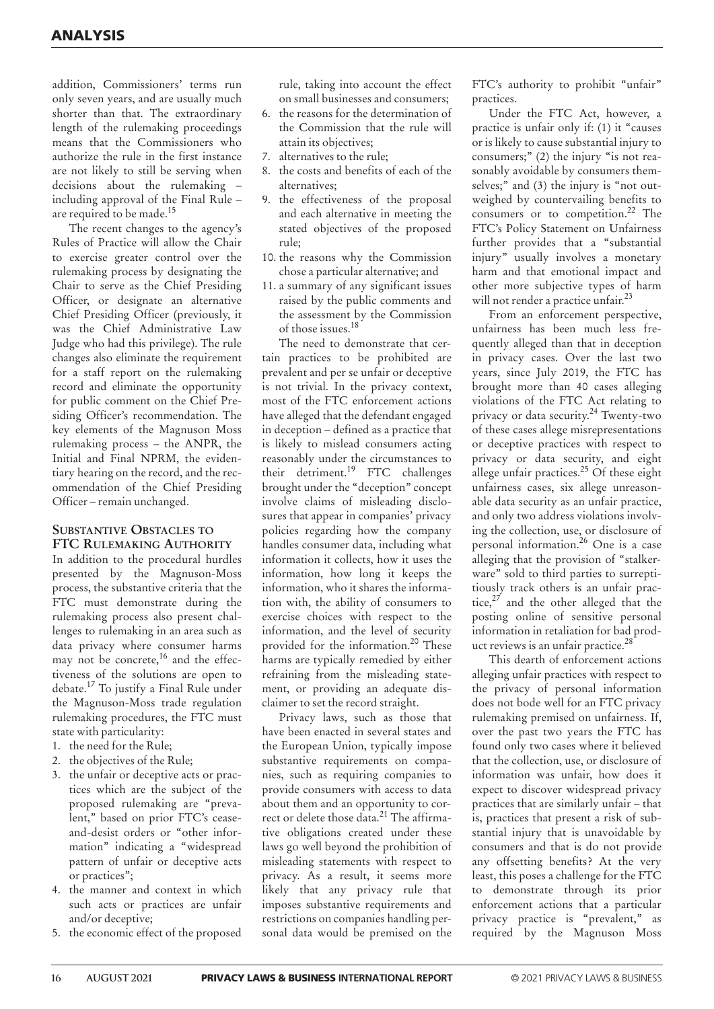addition, Commissioners' terms run only seven years, and are usually much shorter than that. The extraordinary length of the rulemaking proceedings means that the Commissioners who authorize the rule in the first instance are not likely to still be serving when decisions about the rulemaking – including approval of the Final Rule – are required to be made.<sup>15</sup>

The recent changes to the agency's Rules of Practice will allow the Chair to exercise greater control over the rulemaking process by designating the Chair to serve as the Chief Presiding Officer, or designate an alternative Chief Presiding Officer (previously, it was the Chief Administrative Law Judge who had this privilege). The rule changes also eliminate the requirement for a staff report on the rulemaking record and eliminate the opportunity for public comment on the Chief Presiding Officer's recommendation. The key elements of the Magnuson Moss rulemaking process – the AnPR, the Initial and Final nPRM, the evidentiary hearing on the record, and the recommendation of the Chief Presiding Officer – remain unchanged.

# **substantive obstaCles to ftC rulemaKing authority**

In addition to the procedural hurdles presented by the Magnuson-Moss process, the substantive criteria that the FTC must demonstrate during the rulemaking process also present challenges to rulemaking in an area such as data privacy where consumer harms may not be concrete, <sup>16</sup> and the effectiveness of the solutions are open to debate. <sup>17</sup> To justify a Final Rule under the Magnuson-Moss trade regulation rulemaking procedures, the FTC must state with particularity:

- 1. the need for the Rule;
- 2. the objectives of the Rule;
- 3. the unfair or deceptive acts or practices which are the subject of the proposed rulemaking are "prevalent," based on prior FTC's ceaseand-desist orders or "other information" indicating a "widespread pattern of unfair or deceptive acts or practices";
- 4. the manner and context in which such acts or practices are unfair and/or deceptive;
- 5. the economic effect of the proposed

rule, taking into account the effect on small businesses and consumers;

- 6. the reasons for the determination of the Commission that the rule will attain its objectives;
- 7. alternatives to the rule;
- 8. the costs and benefits of each of the alternatives;
- 9. the effectiveness of the proposal and each alternative in meeting the stated objectives of the proposed rule;
- 10. the reasons why the Commission chose a particular alternative; and
- 11. a summary of any significant issues raised by the public comments and the assessment by the Commission of those issues. 18

The need to demonstrate that certain practices to be prohibited are prevalent and per se unfair or deceptive is not trivial. In the privacy context, most of the FTC enforcement actions have alleged that the defendant engaged in deception – defined as a practice that is likely to mislead consumers acting reasonably under the circumstances to their detriment.<sup>19</sup> FTC challenges brought under the "deception" concept involve claims of misleading disclosures that appear in companies' privacy policies regarding how the company handles consumer data, including what information it collects, how it uses the information, how long it keeps the information, who it shares the information with, the ability of consumers to exercise choices with respect to the information, and the level of security provided for the information. <sup>20</sup> These harms are typically remedied by either refraining from the misleading statement, or providing an adequate disclaimer to set the record straight.

Privacy laws, such as those that have been enacted in several states and the European Union, typically impose substantive requirements on companies, such as requiring companies to provide consumers with access to data about them and an opportunity to correct or delete those data. <sup>21</sup> The affirmative obligations created under these laws go well beyond the prohibition of misleading statements with respect to privacy. As a result, it seems more likely that any privacy rule that imposes substantive requirements and restrictions on companies handling personal data would be premised on the

FTC's authority to prohibit "unfair" practices.

Under the FTC Act, however, a practice is unfair only if: (1) it "causes or is likely to cause substantial injury to consumers;" (2) the injury "is not reasonably avoidable by consumers themselves;" and (3) the injury is "not outweighed by countervailing benefits to consumers or to competition. <sup>22</sup> The FTC's Policy Statement on Unfairness further provides that a "substantial injury" usually involves a monetary harm and that emotional impact and other more subjective types of harm will not render a practice unfair.<sup>23</sup>

From an enforcement perspective, unfairness has been much less frequently alleged than that in deception in privacy cases. Over the last two years, since July 2019, the FTC has brought more than 40 cases alleging violations of the FTC Act relating to privacy or data security. <sup>24</sup> Twenty-two of these cases allege misrepresentations or deceptive practices with respect to privacy or data security, and eight allege unfair practices.<sup>25</sup> Of these eight unfairness cases, six allege unreasonable data security as an unfair practice, and only two address violations involving the collection, use, or disclosure of personal information. <sup>26</sup> One is a case alleging that the provision of "stalkerware" sold to third parties to surreptitiously track others is an unfair practice,<sup>27</sup> and the other alleged that the posting online of sensitive personal information in retaliation for bad product reviews is an unfair practice. 28

This dearth of enforcement actions alleging unfair practices with respect to the privacy of personal information does not bode well for an FTC privacy rulemaking premised on unfairness. If, over the past two years the FTC has found only two cases where it believed that the collection, use, or disclosure of information was unfair, how does it expect to discover widespread privacy practices that are similarly unfair – that is, practices that present a risk of substantial injury that is unavoidable by consumers and that is do not provide any offsetting benefits? At the very least, this poses a challenge for the FTC to demonstrate through its prior enforcement actions that a particular privacy practice is "prevalent," as required by the Magnuson Moss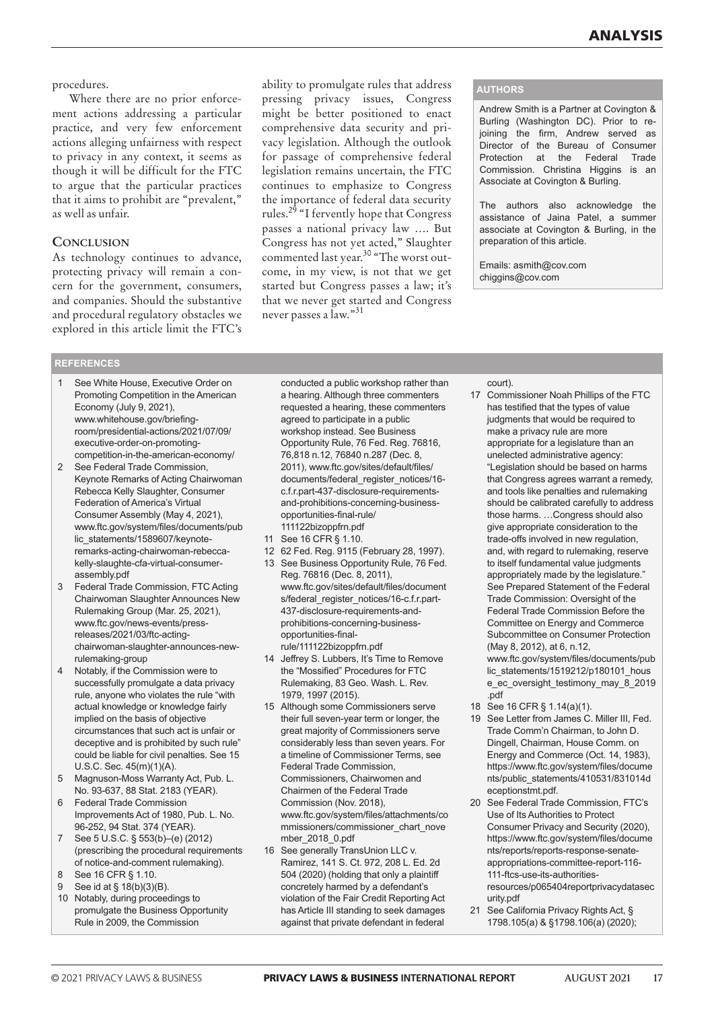# procedures.

Where there are no prior enforcement actions addressing a particular practice, and very few enforcement actions alleging unfairness with respect to privacy in any context, it seems as though it will be difficult for the FTC to argue that the particular practices that it aims to prohibit are "prevalent," as well as unfair.

# **ConClusion**

As technology continues to advance, protecting privacy will remain a concern for the government, consumers, and companies. Should the substantive and procedural regulatory obstacles we explored in this article limit the FTC's

ability to promulgate rules that address pressing privacy issues, Congress might be better positioned to enact comprehensive data security and privacy legislation. Although the outlook for passage of comprehensive federal legislation remains uncertain, the FTC continues to emphasize to Congress the importance of federal data security rules.<sup>29</sup> "I fervently hope that Congress passes a national privacy law …. But Congress has not yet acted," Slaughter commented last year.<sup>30</sup> "The worst outcome, in my view, is not that we get started but Congress passes a law; it's that we never get started and Congress never passes a law."<sup>31</sup>

### **authors**

Andrew Smith is a Partner at Covington & Burling (Washington DC). Prior to rejoining the firm, Andrew served as Director of the Bureau of Consumer Protection at the Federal Trade Commission. Christina Higgins is an Associate at Covington & Burling.

The authors also acknowledge the assistance of Jaina Patel, a summer associate at Covington & Burling, in the preparation of this article.

Emails: asmith@cov.com chiggins@cov.com

# **references**

- See White House, Executive Order on Promoting Competition in the American Economy (July 9, 2021), www.whitehouse.gov/briefingroom/presidential-actions/2021/07/09/ executive-order-on-promotingcompetition-in-the-american-economy/
- 2 See Federal Trade Commission, Keynote Remarks of Acting Chairwoman Rebecca Kelly Slaughter, Consumer Federation of America's Virtual Consumer Assembly (May 4, 2021), www.ftc.gov/system/files/documents/pub lic\_statements/1589607/keynoteremarks-acting-chairwoman-rebeccakelly-slaughte-cfa-virtual-consumerassembly.pdf
- 3 Federal Trade Commission, FTC Acting Chairwoman Slaughter Announces New Rulemaking Group (Mar. 25, 2021), www.ftc.gov/news-events/pressreleases/2021/03/ftc-actingchairwoman-slaughter-announces-newrulemaking-group
- 4 Notably, if the Commission were to successfully promulgate a data privacy rule, anyone who violates the rule "with actual knowledge or knowledge fairly implied on the basis of objective circumstances that such act is unfair or deceptive and is prohibited by such rule" could be liable for civil penalties. See 15 U.S.C. Sec. 45(m)(1)(A).
- 5 Magnuson-Moss Warranty Act, Pub. L. No. 93-637, 88 Stat. 2183 (YEAR).
- 6 Federal Trade Commission Improvements Act of 1980, Pub. L. No. 96-252, 94 Stat. 374 (YEAR).
- 7 See 5 U.S.C. § 553(b)–(e) (2012) (prescribing the procedural requirements of notice-and-comment rulemaking).
- 8 See 16 CFR § 1.10.
- 9 See id at § 18(b)(3)(B).
- 10 Notably, during proceedings to promulgate the Business Opportunity Rule in 2009, the Commission

conducted a public workshop rather than a hearing. Although three commenters requested a hearing, these commenters agreed to participate in a public workshop instead. See Business Opportunity Rule, 76 Fed. Reg. 76816, 76,818 n.12, 76840 n.287 (Dec. 8, 2011), www.ftc.gov/sites/default/files/ documents/federal\_register\_notices/16c.f.r.part-437-disclosure-requirementsand-prohibitions-concerning-businessopportunities-final-rule/ 111122bizoppfrn.pdf

- 11 See 16 CFR § 1.10.
- 12 62 Fed. Reg. 9115 (February 28, 1997).
- 13 See Business Opportunity Rule, 76 Fed. Reg. 76816 (Dec. 8, 2011), www.ftc.gov/sites/default/files/document s/federal\_register\_notices/16-c.f.r.part-437-disclosure-requirements-andprohibitions-concerning-businessopportunities-finalrule/111122bizoppfrn.pdf
- 14 Jeffrey S. Lubbers, It's Time to Remove the "Mossified" Procedures for FTC Rulemaking, 83 Geo. Wash. L. Rev. 1979, 1997 (2015).
- 15 Although some Commissioners serve their full seven-year term or longer, the great majority of Commissioners serve considerably less than seven years. For a timeline of Commissioner Terms, see Federal Trade Commission, Commissioners, Chairwomen and Chairmen of the Federal Trade Commission (Nov. 2018), www.ftc.gov/system/files/attachments/co mmissioners/commissioner\_chart\_nove mber\_2018\_0.pdf
- 16 See generally TransUnion LLC v. Ramirez, 141 S. Ct. 972, 208 L. Ed. 2d 504 (2020) (holding that only a plaintiff concretely harmed by a defendant's violation of the Fair Credit Reporting Act has Article III standing to seek damages against that private defendant in federal

court).

- 17 Commissioner Noah Phillips of the FTC has testified that the types of value judgments that would be required to make a privacy rule are more appropriate for a legislature than an unelected administrative agency: "Legislation should be based on harms that Congress agrees warrant a remedy, and tools like penalties and rulemaking should be calibrated carefully to address those harms. …Congress should also give appropriate consideration to the trade-offs involved in new regulation, and, with regard to rulemaking, reserve to itself fundamental value judgments appropriately made by the legislature." See Prepared Statement of the Federal Trade Commission: Oversight of the Federal Trade Commission Before the Committee on Energy and Commerce Subcommittee on Consumer Protection (May 8, 2012), at 6, n.12, www.ftc.gov/system/files/documents/pub lic\_statements/1519212/p180101\_hous e\_ec\_oversight\_testimony\_may\_8\_2019 .pdf
- 18 See 16 CFR § 1.14(a)(1).
- 19 See Letter from James C. Miller III, Fed. Trade Comm'n Chairman, to John D. Dingell, Chairman, House Comm. on Energy and Commerce (Oct. 14, 1983), https://www.ftc.gov/system/files/docume nts/public\_statements/410531/831014d eceptionstmt.pdf.
- 20 See Federal Trade Commission, FTC's Use of Its Authorities to Protect Consumer Privacy and Security (2020), https://www.ftc.gov/system/files/docume nts/reports/reports-response-senateappropriations-committee-report-116- 111-ftcs-use-its-authoritiesresources/p065404reportprivacydatasec
- urity.pdf
- 21 See California Privacy Rights Act, § 1798.105(a) & §1798.106(a) (2020);